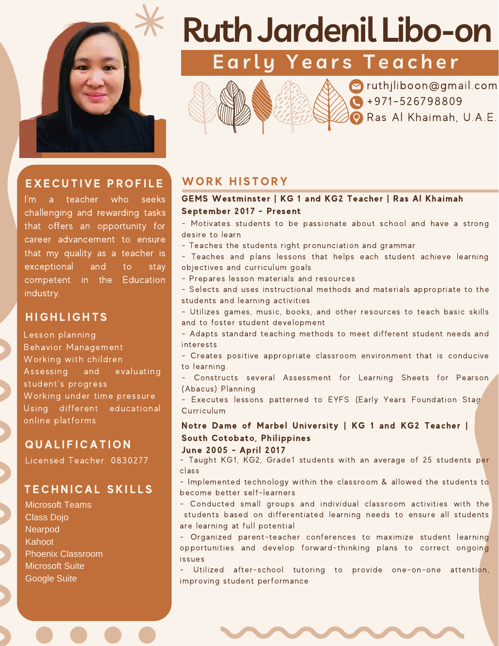

# EXECUTIVE PROFILE WORK HISTORY

I'm a teacher who seeks challenging and rewarding tasks that offers an opportunity for career advancement to ensure that my quality as a teacher is exceptional and to stay competent in the Education industry.

#### **HIGHLIGHTS**

Lesson planning Behavior Management Working with children Assessing and evaluating student's progress Working under time pressure Using different educational online platforms

### **QUALIFICATION**

Licensed Teacher: 0830277

#### TECHNICAL SKILLS

Microsoft Teams Class Dojo **Nearpod Kahoot** Phoenix Classroom Microsoft Suite Google Suite

# **RuthJardenil Libo-on**

**E a r l y Y e a r s T e a c h e r**





 $\sim$  ruthjliboon@gmail.com  $\bigodot$  +971-526798809 Ras Al Khaimah, U.A.E.

#### GEMS Westminster | KG 1 and KG2 Teacher | Ras Al Khaimah September 2017 - Present

- Motivates students to be passionate about school and have a strong desire to learn

- Teaches the students right pronunciation and grammar

**EXECUTE CALCE PLANE RECEIVE** - Teaches and plans lessons that helps each student achieve learning

- Prepares lesson materials and resources

- Selects and uses instructional methods and materials appropriate to the students and learning activities

- Utilizes games, music, books, and other resources to teach basic skills and to foster student development

- Adapts standard teaching methods to meet different student needs and interests

- Creates positive appropriate classroom environment that is conducive to learning.

- Constructs several Assessment for Learning Sheets for Pearson (Abacus) Planning

- Executes lessons patterned to EYFS (Early Years Foundation Stad Curriculum

Notre Dame of Marbel University | KG 1 and KG2 Teacher | South Cotobato, Philippines

June 2005 - April 2017

- Taught KG1, KG2, Grade1 students with an average of 25 students per class

- Implemented technology within the classroom & allowed the students to become better self-learners

- Conducted small groups and individual classroom activities with the students based on differentiated learning needs to ensure all students are learning at full potential

- Organized parent-teacher conferences to maximize student learning opportunities and develop forward-thinking plans to correct ongoing issues

- Utilized after-school tutoring to provide one-on-one attention, improving student performance